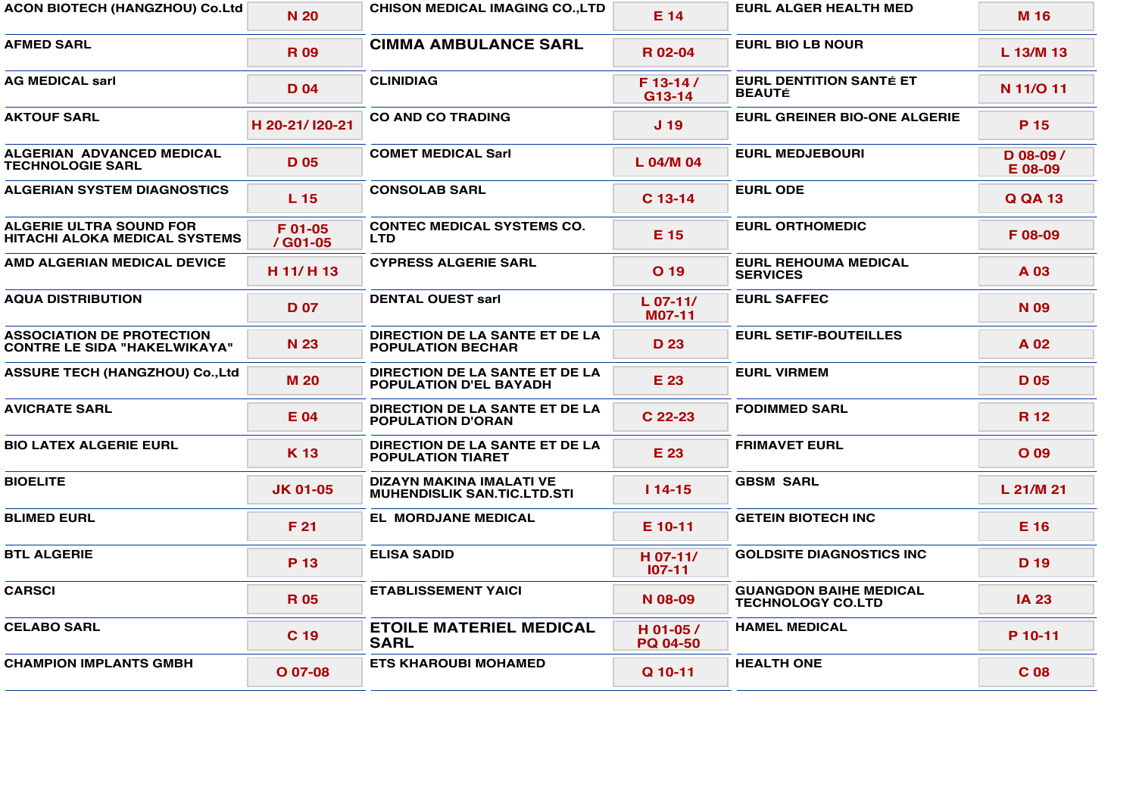| <b>ACON BIOTECH (HANGZHOU) Co.Ltd</b>                                   | <b>N 20</b>         | <b>CHISON MEDICAL IMAGING CO., LTD</b>                          | E 14                        | <b>EURL ALGER HEALTH MED</b>                              | M 16                   |
|-------------------------------------------------------------------------|---------------------|-----------------------------------------------------------------|-----------------------------|-----------------------------------------------------------|------------------------|
| <b>AFMED SARL</b>                                                       | <b>R09</b>          | <b>CIMMA AMBULANCE SARL</b>                                     | R 02-04                     | <b>EURL BIO LB NOUR</b>                                   | L 13/M 13              |
| AG MEDICAL sarl                                                         | D <sub>04</sub>     | <b>CLINIDIAG</b>                                                | F 13-14 /<br>$G13-14$       | <b>EURL DENTITION SANTÉ ET</b><br><b>BEAUTÉ</b>           | N 11/O 11              |
| <b>AKTOUF SARL</b>                                                      | H 20-21/120-21      | <b>CO AND CO TRADING</b>                                        | J <sub>19</sub>             | <b>EURL GREINER BIO-ONE ALGERIE</b>                       | P 15                   |
| ALGERIAN ADVANCED MEDICAL<br><b>TECHNOLOGIE SARL</b>                    | <b>D</b> 05         | <b>COMET MEDICAL Sarl</b>                                       | L 04/M 04                   | <b>EURL MEDJEBOURI</b>                                    | $D$ 08-09 /<br>E 08-09 |
| ALGERIAN SYSTEM DIAGNOSTICS                                             | L <sub>15</sub>     | <b>CONSOLAB SARL</b>                                            | $C$ 13-14                   | <b>EURL ODE</b>                                           | Q QA 13                |
| ALGERIE ULTRA SOUND FOR<br>HITACHI ALOKA MEDICAL SYSTEMS                | F 01-05<br>/ G01-05 | <b>CONTEC MEDICAL SYSTEMS CO.</b><br><b>LTD</b>                 | E 15                        | <b>EURL ORTHOMEDIC</b>                                    | F08-09                 |
| <b>AMD ALGERIAN MEDICAL DEVICE</b>                                      | H 11/H 13           | <b>CYPRESS ALGERIE SARL</b>                                     | O 19                        | <b>EURL REHOUMA MEDICAL</b><br><b>SERVICES</b>            | A 03                   |
| <b>AQUA DISTRIBUTION</b>                                                | <b>D</b> 07         | <b>DENTAL OUEST sarl</b>                                        | L 07-11/<br>M07-11          | <b>EURL SAFFEC</b>                                        | N <sub>09</sub>        |
| <b>ASSOCIATION DE PROTECTION</b><br><b>CONTRE LE SIDA "HAKELWIKAYA"</b> | N 23                | DIRECTION DE LA SANTE ET DE LA<br><b>POPULATION BECHAR</b>      | D 23                        | <b>EURL SETIF-BOUTEILLES</b>                              | A 02                   |
| <b>ASSURE TECH (HANGZHOU) Co.,Ltd</b>                                   | <b>M20</b>          | DIRECTION DE LA SANTE ET DE LA<br><b>POPULATION D'EL BAYADH</b> | E 23                        | <b>EURL VIRMEM</b>                                        | D <sub>05</sub>        |
| <b>AVICRATE SARL</b>                                                    | E 04                | DIRECTION DE LA SANTE ET DE LA<br><b>POPULATION D'ORAN</b>      | C 22-23                     | <b>FODIMMED SARL</b>                                      | <b>R</b> 12            |
| <b>BIO LATEX ALGERIE EURL</b>                                           | K 13                | DIRECTION DE LA SANTE ET DE LA<br><b>POPULATION TIARET</b>      | E 23                        | <b>FRIMAVET EURL</b>                                      | $O$ 09                 |
| <b>BIOELITE</b>                                                         | JK 01-05            | DIZAYN MAKINA IMALATI VE<br><b>MUHENDISLIK SAN.TIC.LTD.STI</b>  | $114 - 15$                  | <b>GBSM SARL</b>                                          | L 21/M 21              |
| <b>BLIMED EURL</b>                                                      | F 21                | <b>EL MORDJANE MEDICAL</b>                                      | E 10-11                     | <b>GETEIN BIOTECH INC</b>                                 | E 16                   |
| <b>BTL ALGERIE</b>                                                      | P 13                | <b>ELISA SADID</b>                                              | H 07-11/<br>$107 - 11$      | <b>GOLDSITE DIAGNOSTICS INC.</b>                          | D 19                   |
| <b>CARSCI</b>                                                           | <b>R05</b>          | <b>ETABLISSEMENT YAICI</b>                                      | N 08-09                     | <b>GUANGDON BAIHE MEDICAL</b><br><b>TECHNOLOGY CO.LTD</b> | <b>IA 23</b>           |
| <b>CELABO SARL</b>                                                      | C 19                | <b>ETOILE MATERIEL MEDICAL</b><br><b>SARL</b>                   | H 01-05/<br><b>PQ 04-50</b> | <b>HAMEL MEDICAL</b>                                      | P 10-11                |
| <b>CHAMPION IMPLANTS GMBH</b>                                           | $O$ 07-08           | <b>ETS KHAROUBI MOHAMED</b>                                     | Q 10-11                     | <b>HEALTH ONE</b>                                         | C <sub>08</sub>        |